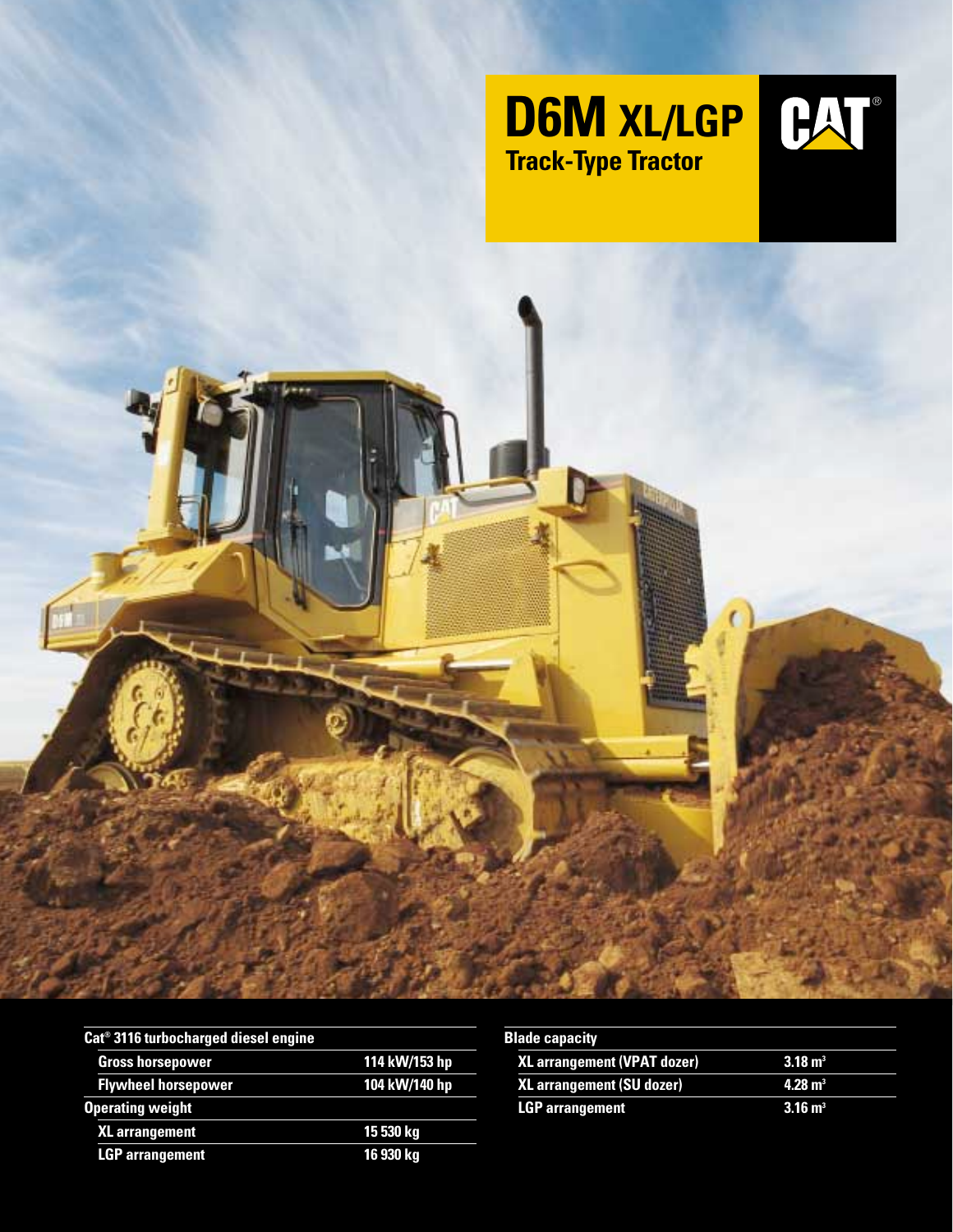





| Cat <sup>®</sup> 3116 turbocharged diesel engine |               |
|--------------------------------------------------|---------------|
| <b>Gross horsepower</b>                          | 114 kW/153 hp |
| <b>Flywheel horsepower</b>                       | 104 kW/140 hp |
| <b>Operating weight</b>                          |               |
| <b>XL</b> arrangement                            | 15 530 kg     |
| <b>LGP</b> arrangement                           | 16 930 kg     |

| <b>Blade capacity</b>              |                    |
|------------------------------------|--------------------|
| <b>XL arrangement (VPAT dozer)</b> | $3.18 \text{ m}^3$ |
| <b>XL arrangement (SU dozer)</b>   | $4.28 \text{ m}^3$ |
| <b>LGP</b> arrangement             | $3.16 \text{ m}^3$ |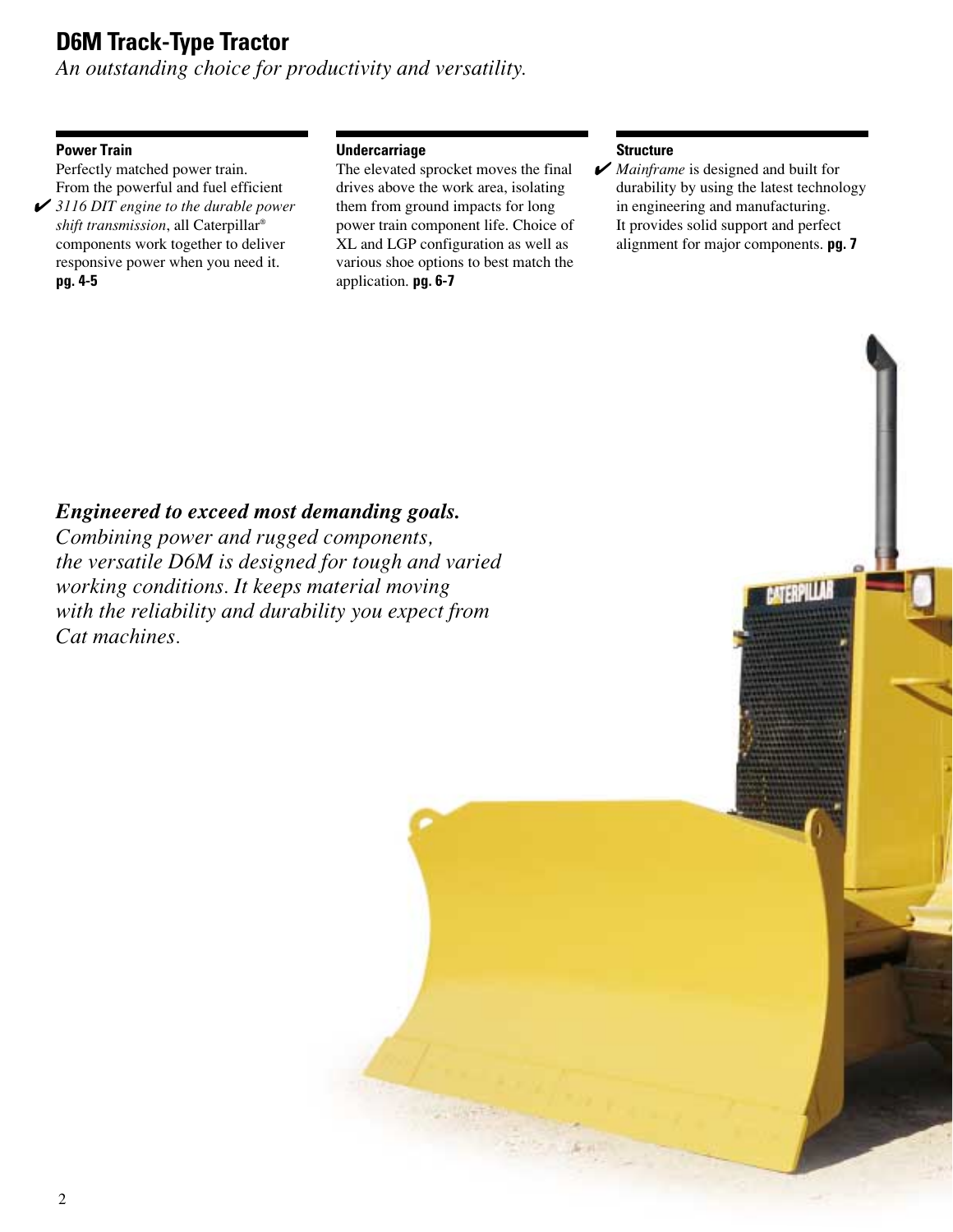# **D6M Track-Type Tractor**

*An outstanding choice for productivity and versatility.*

### **Power Train**

Perfectly matched power train. From the powerful and fuel efficient **✔** 3116 DIT engine to the durable power *shift transmission*, all Caterpillar® components work together to deliver responsive power when you need it. **pg. 4-5**

#### **Undercarriage**

The elevated sprocket moves the final drives above the work area, isolating them from ground impacts for long power train component life. Choice of XL and LGP configuration as well as various shoe options to best match the application. **pg. 6-7**

#### **Structure**

Mainframe is designed and built for durability by using the latest technology in engineering and manufacturing. It provides solid support and perfect alignment for major components. **pg. 7**

### *Engineered to exceed most demanding goals.*

*Combining power and rugged components, the versatile D6M is designed for tough and varied working conditions. It keeps material moving with the reliability and durability you expect from Cat machines.*

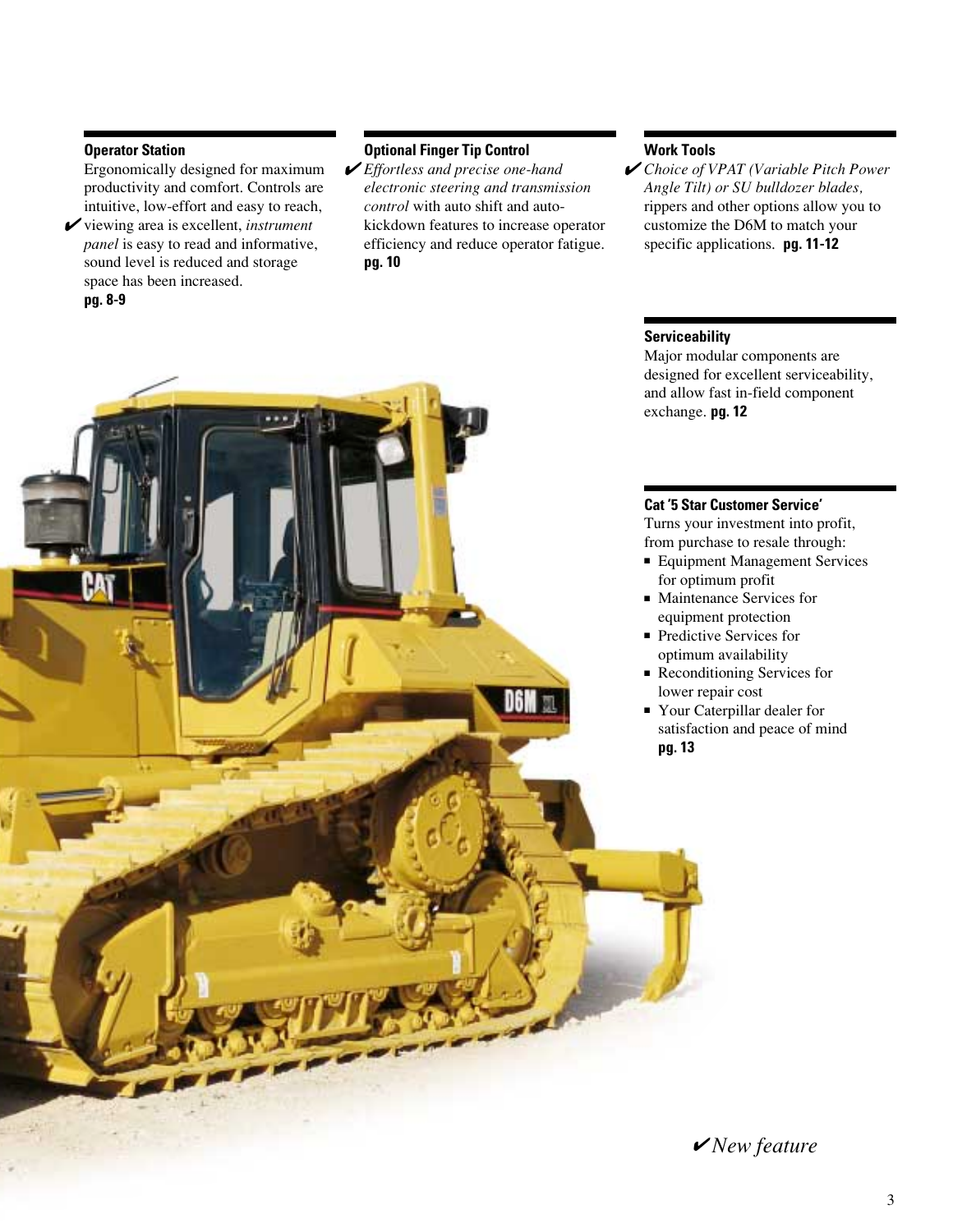#### **Operator Station**

Ergonomically designed for maximum productivity and comfort. Controls are intuitive, low-effort and easy to reach,

**✓** viewing area is excellent, *instrument panel* is easy to read and informative, sound level is reduced and storage space has been increased.

#### **pg. 8-9**

#### **Optional Finger Tip Control**

 $\blacktriangleright$  *Effortless and precise one-hand*  $\blacktriangleright$ *electronic steering and transmission control* with auto shift and autokickdown features to increase operator efficiency and reduce operator fatigue. **pg. 10**

#### **Work Tools**

*Choice of VPAT (Variable Pitch Power Angle Tilt) or SU bulldozer blades,* rippers and other options allow you to customize the D6M to match your specific applications. **pg. 11-12**

#### **Serviceability**

Major modular components are designed for excellent serviceability, and allow fast in-field component exchange. **pg. 12**

#### **Cat '5 Star Customer Service'**

Turns your investment into profit, from purchase to resale through:

- Equipment Management Services for optimum profit
- Maintenance Services for equipment protection
- Predictive Services for optimum availability
- Reconditioning Services for lower repair cost
- Your Caterpillar dealer for satisfaction and peace of mind **pg. 13**

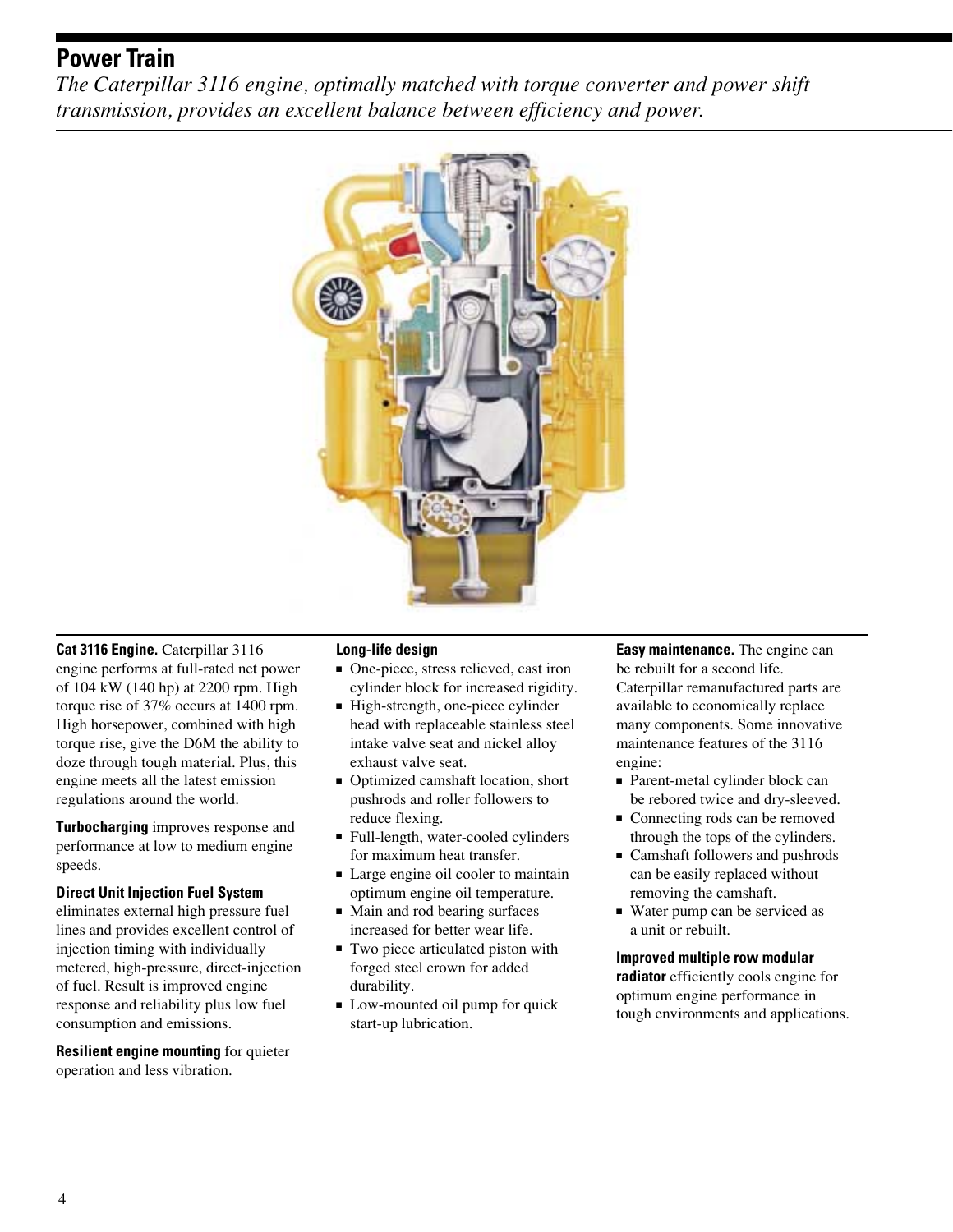### **Power Train**

*The Caterpillar 3116 engine, optimally matched with torque converter and power shift transmission, provides an excellent balance between efficiency and power.*



**Cat 3116 Engine.** Caterpillar 3116 engine performs at full-rated net power of 104 kW (140 hp) at 2200 rpm. High torque rise of 37% occurs at 1400 rpm. High horsepower, combined with high torque rise, give the D6M the ability to doze through tough material. Plus, this engine meets all the latest emission regulations around the world.

**Turbocharging** improves response and performance at low to medium engine speeds.

#### **Direct Unit Injection Fuel System**

eliminates external high pressure fuel lines and provides excellent control of injection timing with individually metered, high-pressure, direct-injection of fuel. Result is improved engine response and reliability plus low fuel consumption and emissions.

**Resilient engine mounting** for quieter operation and less vibration.

#### **Long-life design**

- One-piece, stress relieved, cast iron cylinder block for increased rigidity.
- High-strength, one-piece cylinder head with replaceable stainless steel intake valve seat and nickel alloy exhaust valve seat.
- Optimized camshaft location, short pushrods and roller followers to reduce flexing.
- Full-length, water-cooled cylinders for maximum heat transfer.
- Large engine oil cooler to maintain optimum engine oil temperature.
- Main and rod bearing surfaces increased for better wear life.
- Two piece articulated piston with forged steel crown for added durability.
- Low-mounted oil pump for quick start-up lubrication.

**Easy maintenance.** The engine can be rebuilt for a second life. Caterpillar remanufactured parts are available to economically replace many components. Some innovative maintenance features of the 3116 engine:

- Parent-metal cylinder block can be rebored twice and dry-sleeved.
- Connecting rods can be removed through the tops of the cylinders.
- Camshaft followers and pushrods can be easily replaced without removing the camshaft.
- Water pump can be serviced as a unit or rebuilt.

#### **Improved multiple row modular**

**radiator** efficiently cools engine for optimum engine performance in tough environments and applications.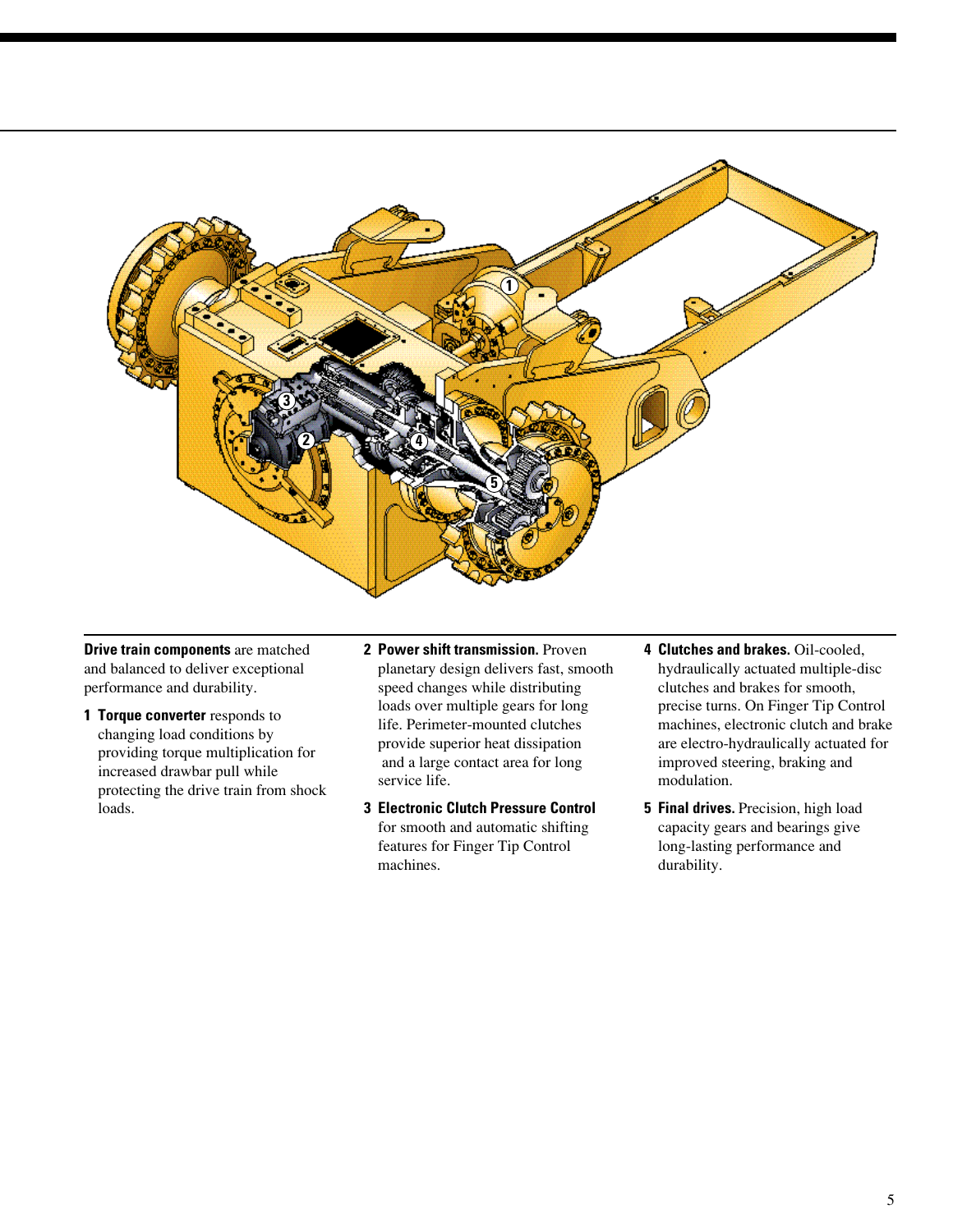

**Drive train components** are matched and balanced to deliver exceptional performance and durability.

- **1 Torque converter** responds to changing load conditions by providing torque multiplication for increased drawbar pull while protecting the drive train from shock loads.
- **2 Power shift transmission.** Proven planetary design delivers fast, smooth speed changes while distributing loads over multiple gears for long life. Perimeter-mounted clutches provide superior heat dissipation and a large contact area for long service life.
- **3 Electronic Clutch Pressure Control** for smooth and automatic shifting features for Finger Tip Control machines.
- **4 Clutches and brakes.** Oil-cooled, hydraulically actuated multiple-disc clutches and brakes for smooth, precise turns. On Finger Tip Control machines, electronic clutch and brake are electro-hydraulically actuated for improved steering, braking and modulation.
- **5 Final drives.** Precision, high load capacity gears and bearings give long-lasting performance and durability.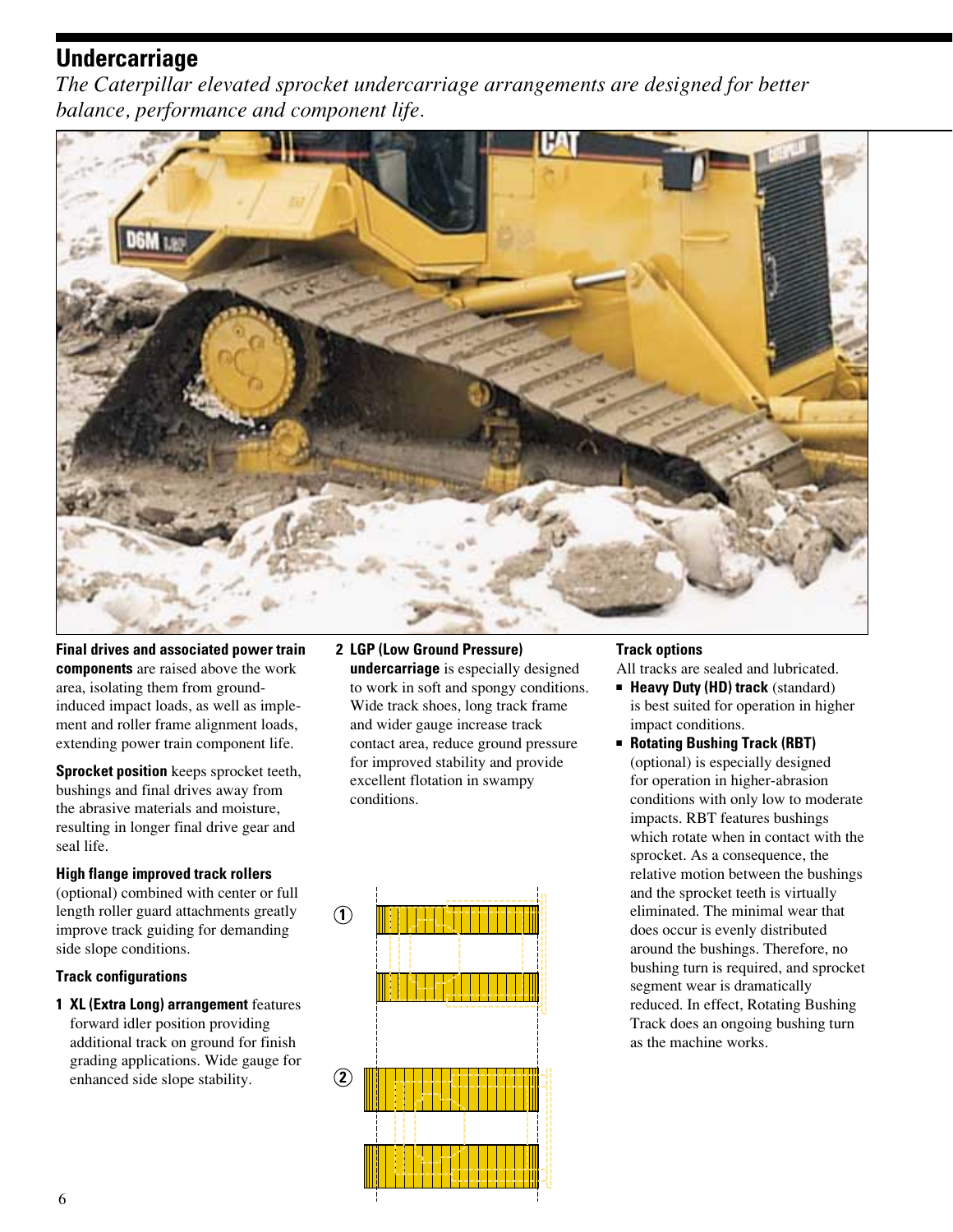### **Undercarriage**

*The Caterpillar elevated sprocket undercarriage arrangements are designed for better balance, performance and component life.*



**Final drives and associated power train components** are raised above the work area, isolating them from groundinduced impact loads, as well as implement and roller frame alignment loads, extending power train component life.

**Sprocket position** keeps sprocket teeth, bushings and final drives away from the abrasive materials and moisture, resulting in longer final drive gear and seal life.

#### **High flange improved track rollers**

(optional) combined with center or full length roller guard attachments greatly improve track guiding for demanding side slope conditions.

#### **Track configurations**

**1 XL (Extra Long) arrangement** features forward idler position providing additional track on ground for finish grading applications. Wide gauge for enhanced side slope stability.

#### **2 LGP (Low Ground Pressure) undercarriage** is especially designed

to work in soft and spongy conditions. Wide track shoes, long track frame and wider gauge increase track contact area, reduce ground pressure for improved stability and provide excellent flotation in swampy conditions.



#### **Track options**

All tracks are sealed and lubricated.

- **Heavy Duty (HD) track** (standard) is best suited for operation in higher impact conditions.
- **Rotating Bushing Track (RBT)** (optional) is especially designed for operation in higher-abrasion conditions with only low to moderate impacts. RBT features bushings which rotate when in contact with the sprocket. As a consequence, the relative motion between the bushings and the sprocket teeth is virtually eliminated. The minimal wear that does occur is evenly distributed around the bushings. Therefore, no bushing turn is required, and sprocket segment wear is dramatically reduced. In effect, Rotating Bushing Track does an ongoing bushing turn as the machine works.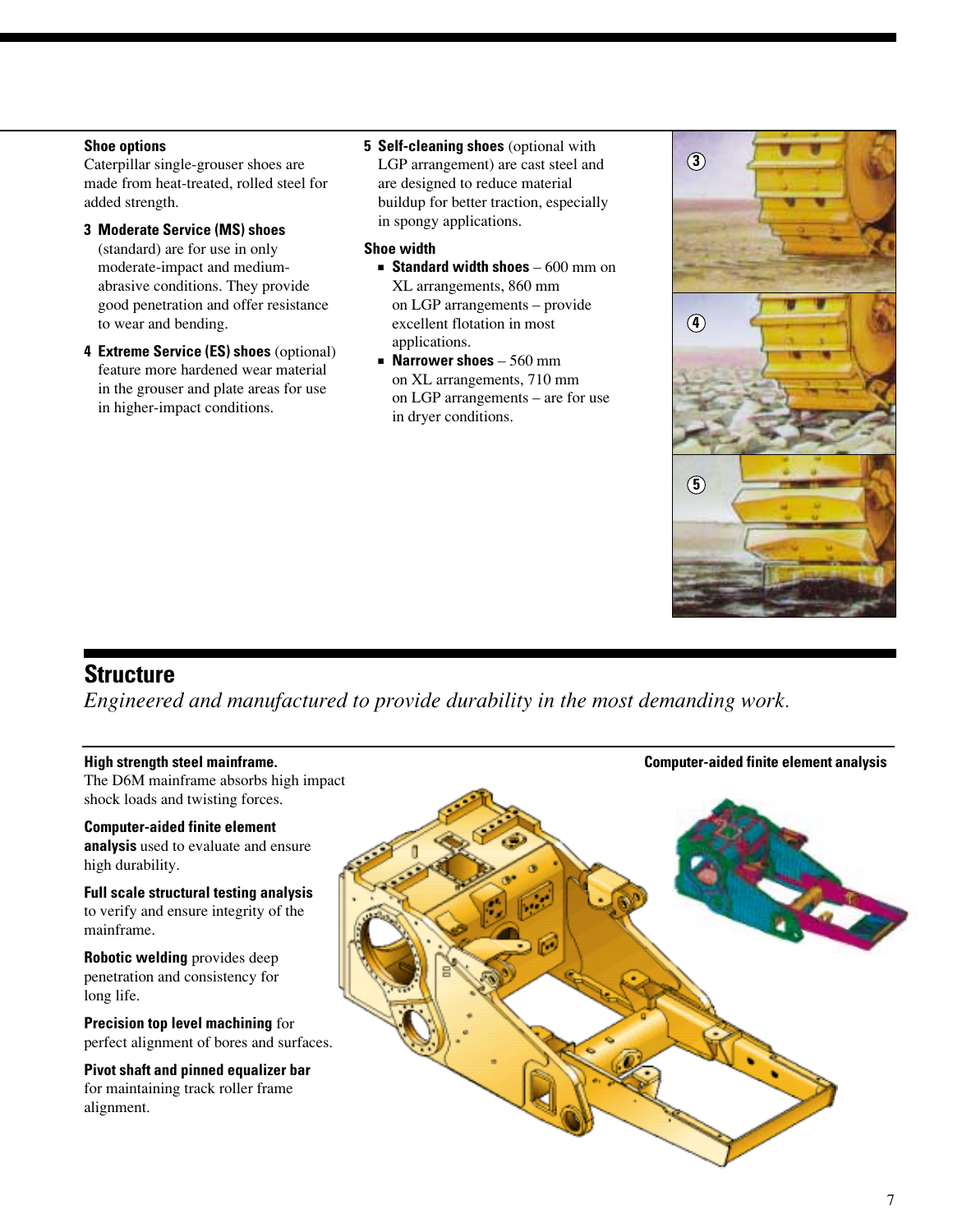#### **Shoe options**

Caterpillar single-grouser shoes are made from heat-treated, rolled steel for added strength.

- **3 Moderate Service (MS) shoes** (standard) are for use in only moderate-impact and mediumabrasive conditions. They provide good penetration and offer resistance to wear and bending.
- **4 Extreme Service (ES) shoes** (optional) feature more hardened wear material in the grouser and plate areas for use in higher-impact conditions.
- **5 Self-cleaning shoes** (optional with LGP arrangement) are cast steel and are designed to reduce material buildup for better traction, especially in spongy applications.

#### **Shoe width**

- **Standard width shoes** 600 mm on XL arrangements, 860 mm on LGP arrangements – provide excellent flotation in most applications.
- **Narrower shoes** 560 mm on XL arrangements, 710 mm on LGP arrangements – are for use in dryer conditions.



### **Structure**

*Engineered and manufactured to provide durability in the most demanding work.*

### **High strength steel mainframe.** The D6M mainframe absorbs high impact shock loads and twisting forces. **Computer-aided finite element analysis** used to evaluate and ensure high durability. **Full scale structural testing analysis** to verify and ensure integrity of the mainframe. **Robotic welding** provides deep penetration and consistency for long life. **Precision top level machining** for perfect alignment of bores and surfaces. **Pivot shaft and pinned equalizer bar** for maintaining track roller frame alignment. **Computer-aided finite element analysis**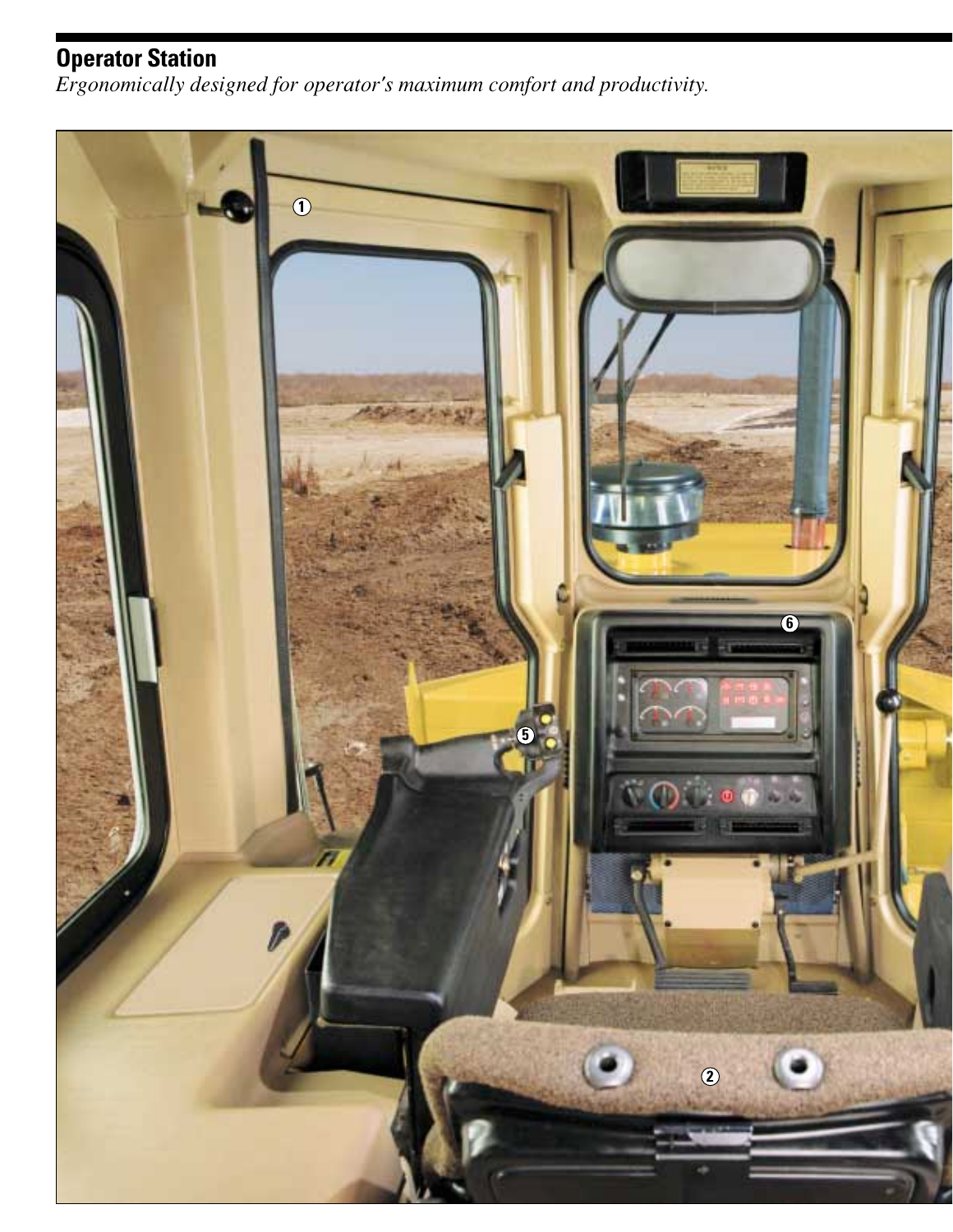### **Operator Station**

*Ergonomically designed for operator's maximum comfort and productivity.*

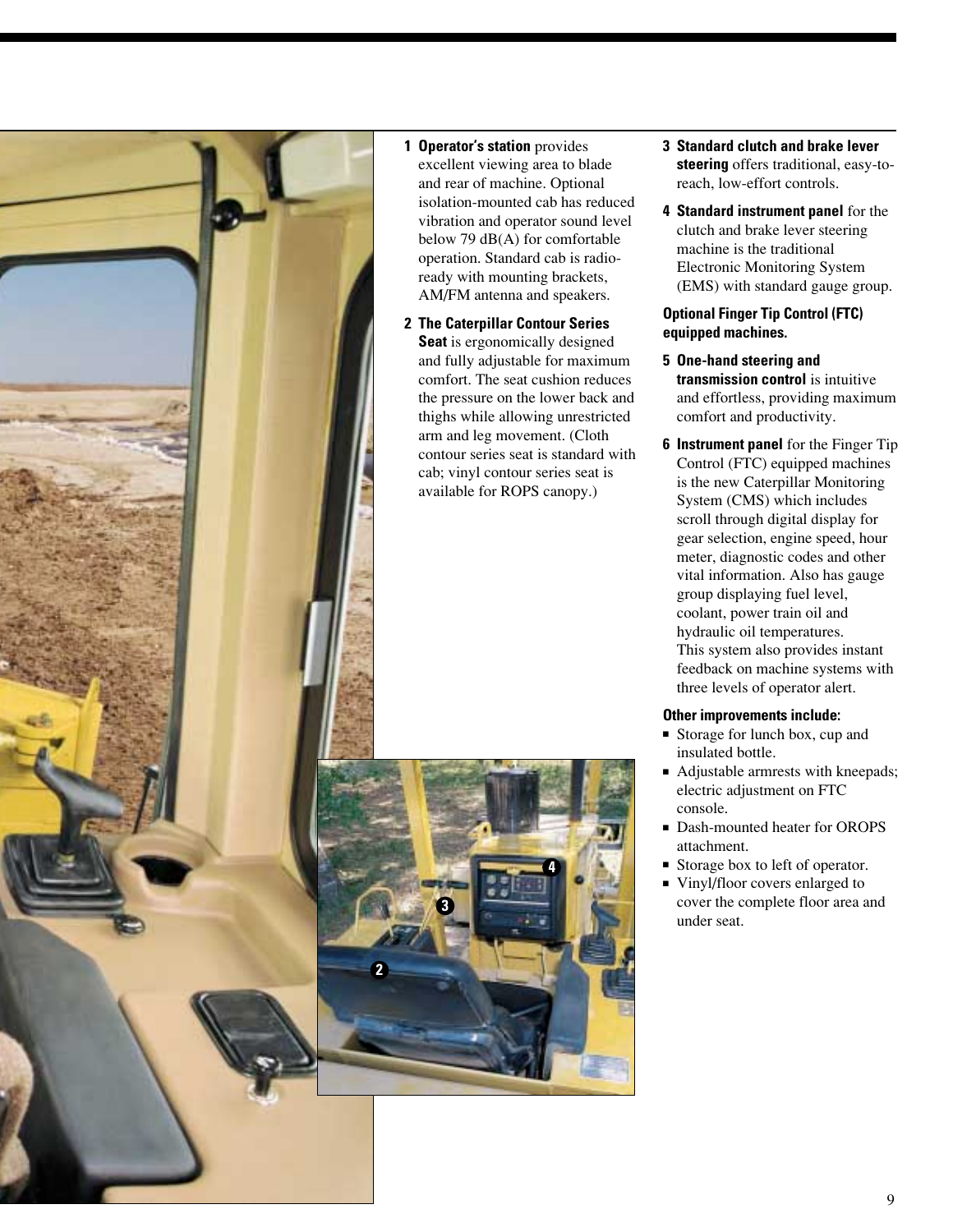

#### **1 Operator's station** provides excellent viewing area to blade and rear of machine. Optional isolation-mounted cab has reduced vibration and operator sound level below 79 dB(A) for comfortable operation. Standard cab is radioready with mounting brackets, AM/FM antenna and speakers.

**2 The Caterpillar Contour Series Seat** is ergonomically designed and fully adjustable for maximum comfort. The seat cushion reduces the pressure on the lower back and thighs while allowing unrestricted arm and leg movement. (Cloth contour series seat is standard with cab; vinyl contour series seat is available for ROPS canopy.)



- **3 Standard clutch and brake lever steering** offers traditional, easy-toreach, low-effort controls.
- **4 Standard instrument panel** for the clutch and brake lever steering machine is the traditional Electronic Monitoring System (EMS) with standard gauge group.

#### **Optional Finger Tip Control (FTC) equipped machines.**

- **5 One-hand steering and transmission control** is intuitive and effortless, providing maximum comfort and productivity.
- **6 Instrument panel** for the Finger Tip Control (FTC) equipped machines is the new Caterpillar Monitoring System (CMS) which includes scroll through digital display for gear selection, engine speed, hour meter, diagnostic codes and other vital information. Also has gauge group displaying fuel level, coolant, power train oil and hydraulic oil temperatures. This system also provides instant feedback on machine systems with three levels of operator alert.

#### **Other improvements include:**

- Storage for lunch box, cup and insulated bottle.
- Adjustable armrests with kneepads; electric adjustment on FTC console.
- Dash-mounted heater for OROPS attachment.
- Storage box to left of operator.
- Vinyl/floor covers enlarged to cover the complete floor area and under seat.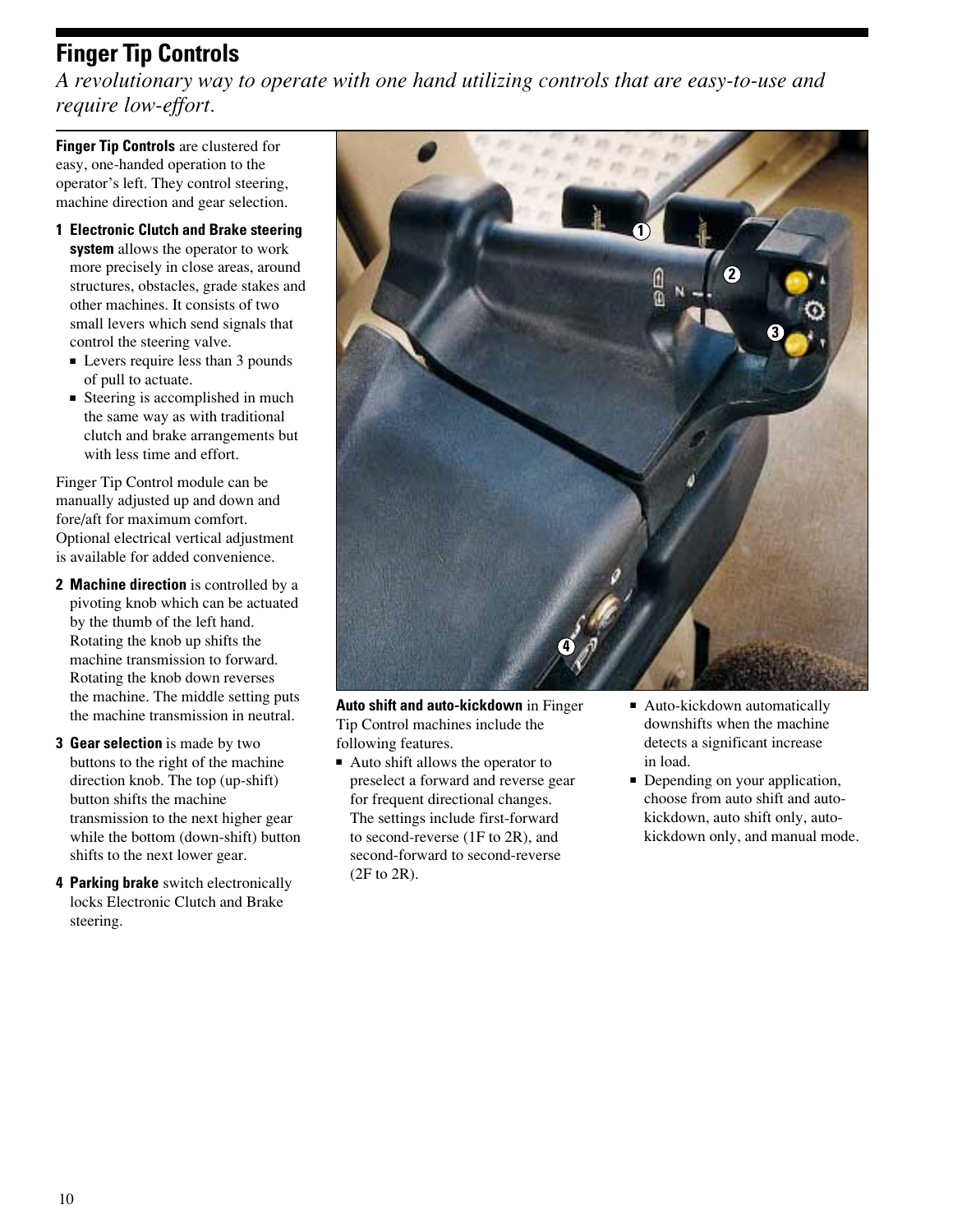# **Finger Tip Controls**

*A revolutionary way to operate with one hand utilizing controls that are easy-to-use and require low-effort.*

**Finger Tip Controls** are clustered for easy, one-handed operation to the operator's left. They control steering, machine direction and gear selection.

- **1 Electronic Clutch and Brake steering system** allows the operator to work more precisely in close areas, around structures, obstacles, grade stakes and other machines. It consists of two small levers which send signals that control the steering valve.
	- Levers require less than 3 pounds of pull to actuate.
	- Steering is accomplished in much the same way as with traditional clutch and brake arrangements but with less time and effort.

Finger Tip Control module can be manually adjusted up and down and fore/aft for maximum comfort. Optional electrical vertical adjustment is available for added convenience.

- **2 Machine direction** is controlled by a pivoting knob which can be actuated by the thumb of the left hand. Rotating the knob up shifts the machine transmission to forward. Rotating the knob down reverses the machine. The middle setting puts the machine transmission in neutral.
- **3 Gear selection** is made by two buttons to the right of the machine direction knob. The top (up-shift) button shifts the machine transmission to the next higher gear while the bottom (down-shift) button shifts to the next lower gear.
- **4 Parking brake** switch electronically locks Electronic Clutch and Brake steering.



**Auto shift and auto-kickdown** in Finger Tip Control machines include the following features.

- Auto shift allows the operator to preselect a forward and reverse gear for frequent directional changes. The settings include first-forward to second-reverse (1F to 2R), and second-forward to second-reverse (2F to 2R).
- Auto-kickdown automatically downshifts when the machine detects a significant increase in load.
- Depending on your application, choose from auto shift and autokickdown, auto shift only, autokickdown only, and manual mode.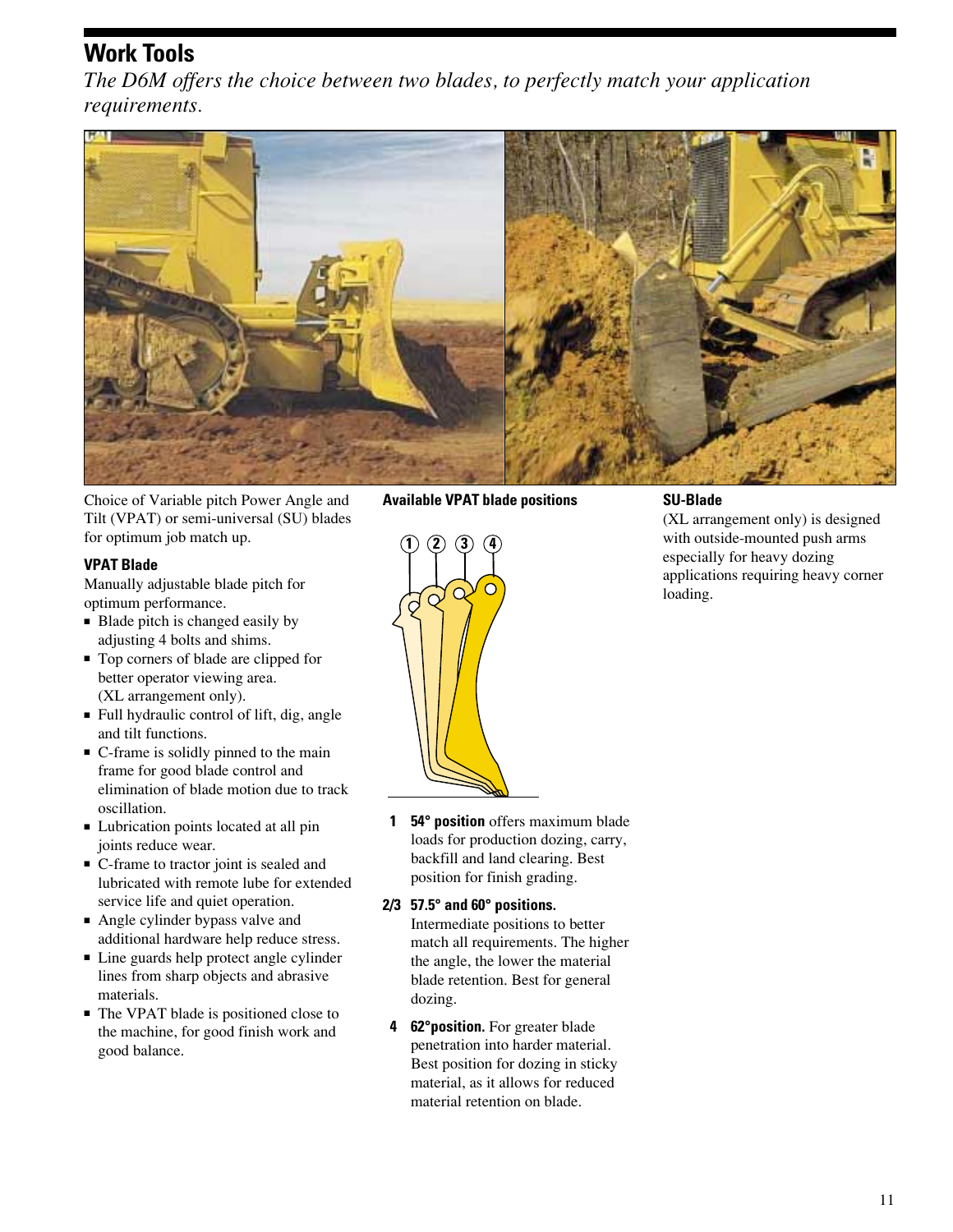### **Work Tools**

*The D6M offers the choice between two blades, to perfectly match your application requirements.*



Choice of Variable pitch Power Angle and Tilt (VPAT) or semi-universal (SU) blades for optimum job match up.

#### **VPAT Blade**

Manually adjustable blade pitch for optimum performance.

- Blade pitch is changed easily by adjusting 4 bolts and shims.
- Top corners of blade are clipped for better operator viewing area. (XL arrangement only).
- Full hydraulic control of lift, dig, angle and tilt functions.
- C-frame is solidly pinned to the main frame for good blade control and elimination of blade motion due to track oscillation.
- Lubrication points located at all pin joints reduce wear.
- C-frame to tractor joint is sealed and lubricated with remote lube for extended service life and quiet operation.
- Angle cylinder bypass valve and additional hardware help reduce stress.
- Line guards help protect angle cylinder lines from sharp objects and abrasive materials.
- The VPAT blade is positioned close to the machine, for good finish work and good balance.

**Available VPAT blade positions**



**1 54° position** offers maximum blade loads for production dozing, carry, backfill and land clearing. Best position for finish grading.

#### **2/3 57.5° and 60° positions.**

Intermediate positions to better match all requirements. The higher the angle, the lower the material blade retention. Best for general dozing.

**4 62°position.** For greater blade penetration into harder material. Best position for dozing in sticky material, as it allows for reduced material retention on blade.

#### **SU-Blade**

(XL arrangement only) is designed with outside-mounted push arms especially for heavy dozing applications requiring heavy corner loading.

11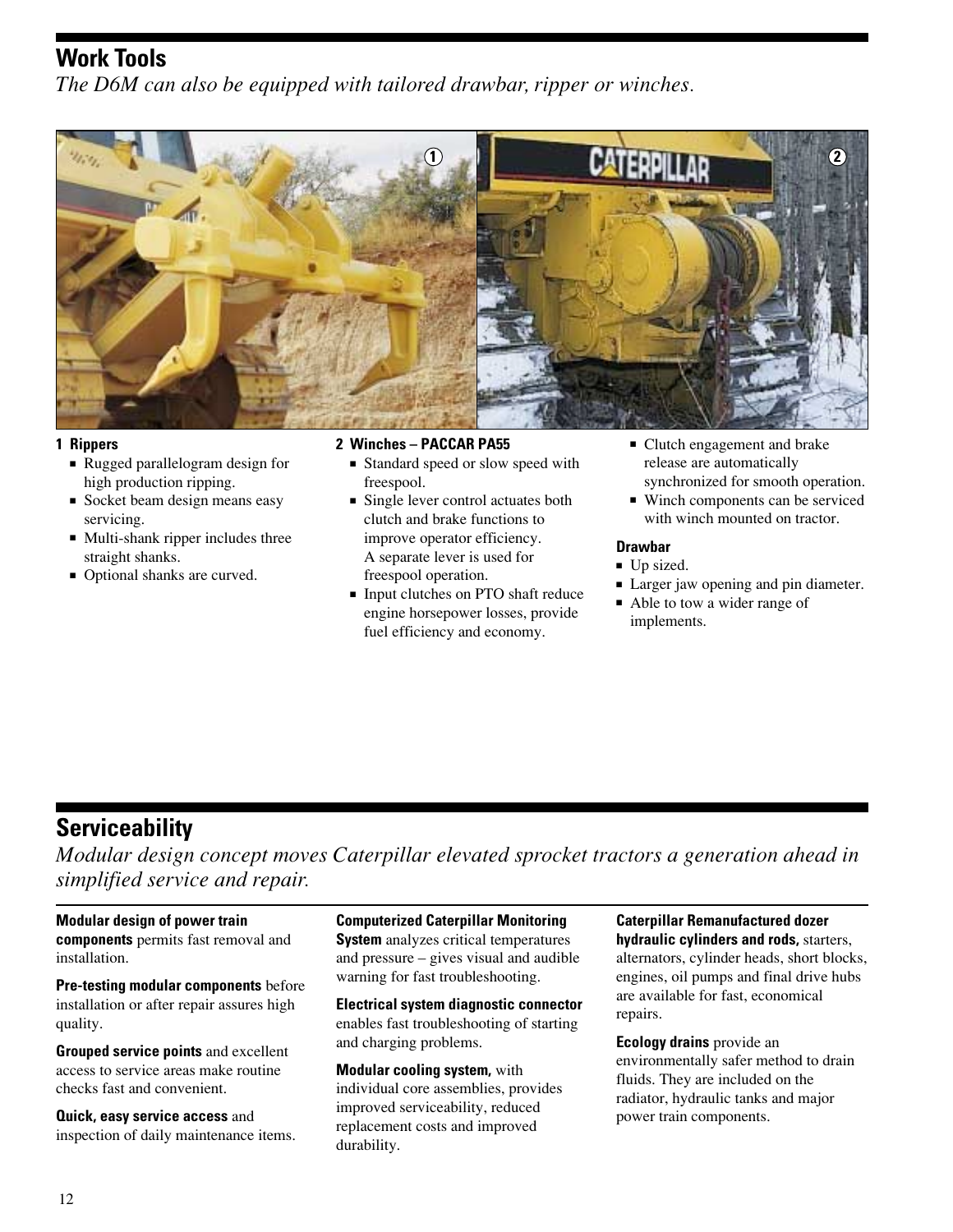### **Work Tools**

*The D6M can also be equipped with tailored drawbar, ripper or winches.*



#### **1 Rippers**

- Rugged parallelogram design for high production ripping.
- Socket beam design means easy servicing.
- Multi-shank ripper includes three straight shanks.
- Optional shanks are curved.

#### **2 Winches – PACCAR PA55**

- Standard speed or slow speed with freespool.
- Single lever control actuates both clutch and brake functions to improve operator efficiency. A separate lever is used for freespool operation.
- Input clutches on PTO shaft reduce engine horsepower losses, provide fuel efficiency and economy.
- Clutch engagement and brake release are automatically synchronized for smooth operation.
- Winch components can be serviced with winch mounted on tractor.

#### **Drawbar**

- Up sized.
- Larger jaw opening and pin diameter.
- Able to tow a wider range of implements.

# **Serviceability**

*Modular design concept moves Caterpillar elevated sprocket tractors a generation ahead in simplified service and repair.*

**Modular design of power train components** permits fast removal and installation.

**Pre-testing modular components** before installation or after repair assures high quality.

**Grouped service points** and excellent access to service areas make routine checks fast and convenient.

**Quick, easy service access** and inspection of daily maintenance items. **Computerized Caterpillar Monitoring System** analyzes critical temperatures and pressure – gives visual and audible warning for fast troubleshooting.

**Electrical system diagnostic connector** enables fast troubleshooting of starting and charging problems.

**Modular cooling system,** with individual core assemblies, provides improved serviceability, reduced replacement costs and improved durability.

**Caterpillar Remanufactured dozer hydraulic cylinders and rods,** starters, alternators, cylinder heads, short blocks, engines, oil pumps and final drive hubs are available for fast, economical repairs.

**Ecology drains** provide an environmentally safer method to drain fluids. They are included on the radiator, hydraulic tanks and major power train components.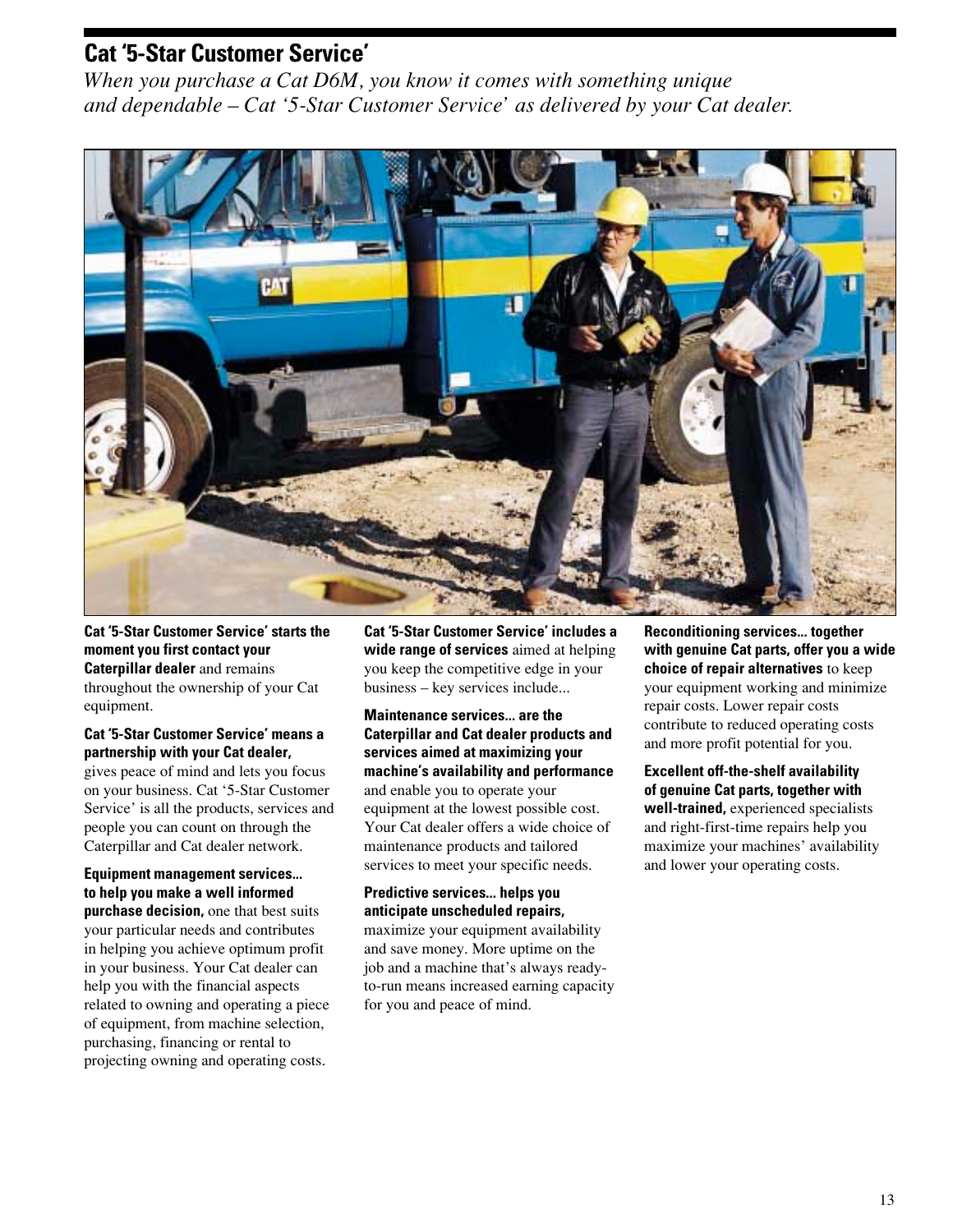### **Cat '5-Star Customer Service'**

*When you purchase a Cat D6M, you know it comes with something unique and dependable – Cat '5-Star Customer Service' as delivered by your Cat dealer.*



**Cat '5-Star Customer Service' starts the moment you first contact your Caterpillar dealer** and remains throughout the ownership of your Cat equipment.

**Cat '5-Star Customer Service' means a partnership with your Cat dealer,** 

gives peace of mind and lets you focus on your business. Cat '5-Star Customer Service' is all the products, services and people you can count on through the Caterpillar and Cat dealer network.

**Equipment management services... to help you make a well informed purchase decision,** one that best suits your particular needs and contributes in helping you achieve optimum profit in your business. Your Cat dealer can help you with the financial aspects related to owning and operating a piece of equipment, from machine selection, purchasing, financing or rental to projecting owning and operating costs.

**Cat '5-Star Customer Service' includes a wide range of services** aimed at helping you keep the competitive edge in your business – key services include...

**Maintenance services... are the Caterpillar and Cat dealer products and services aimed at maximizing your machine's availability and performance** and enable you to operate your equipment at the lowest possible cost. Your Cat dealer offers a wide choice of maintenance products and tailored services to meet your specific needs.

**Predictive services... helps you anticipate unscheduled repairs,** maximize your equipment availability and save money. More uptime on the job and a machine that's always readyto-run means increased earning capacity for you and peace of mind.

**Reconditioning services... together with genuine Cat parts, offer you a wide choice of repair alternatives** to keep your equipment working and minimize repair costs. Lower repair costs contribute to reduced operating costs and more profit potential for you.

**Excellent off-the-shelf availability of genuine Cat parts, together with well-trained,** experienced specialists and right-first-time repairs help you maximize your machines' availability and lower your operating costs.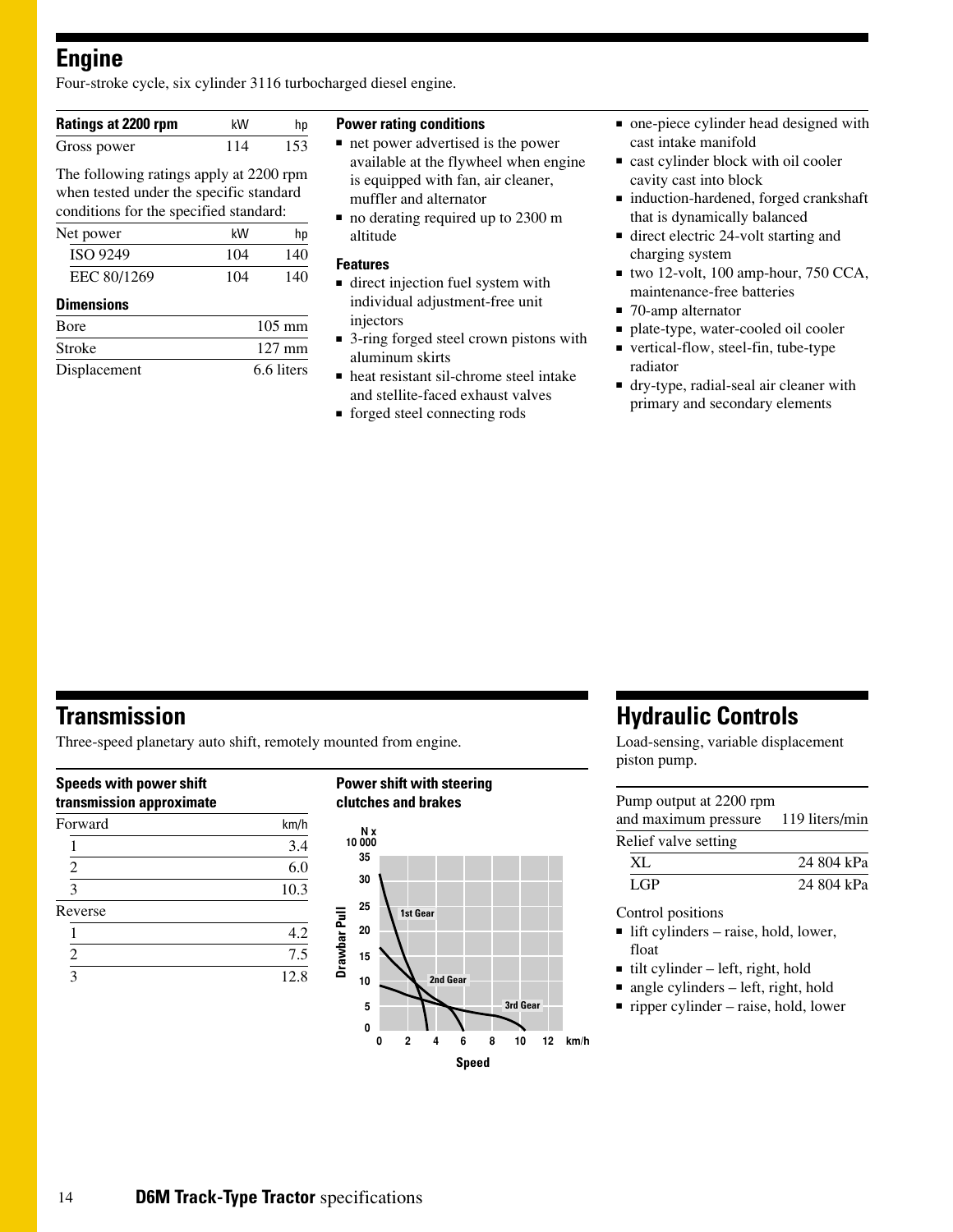### **Engine**

Four-stroke cycle, six cylinder 3116 turbocharged diesel engine.

| Ratings at 2200 rpm                                                                | kW  | hp  |
|------------------------------------------------------------------------------------|-----|-----|
| Gross power                                                                        | 114 | 153 |
| The following ratings apply at 2200 rpm<br>when tested under the specific standard |     |     |
| $\sim$ 1.1 $\sim$ 1.1 $\sim$ 1.1 $\sim$ 1.1 $\sim$ 1.1 $\sim$                      |     |     |

| conditions for the specified standard: |               |                          |
|----------------------------------------|---------------|--------------------------|
| Net power                              | kW            | hp                       |
| $AA$ $AA$ $A$                          | $\sim$ $\sim$ | $\overline{\phantom{a}}$ |

| ISO 9249    | 104 | 140 |
|-------------|-----|-----|
| EEC 80/1269 | 104 | 140 |

#### **Dimensions**

| <b>B</b> ore | $105 \text{ mm}$ |
|--------------|------------------|
| Stroke       | $127 \text{ mm}$ |
| Displacement | 6.6 liters       |

#### **Power rating conditions**

- net power advertised is the power available at the flywheel when engine is equipped with fan, air cleaner, muffler and alternator
- no derating required up to 2300 m altitude

#### **Features**

- direct injection fuel system with individual adjustment-free unit injectors
- 3-ring forged steel crown pistons with aluminum skirts
- heat resistant sil-chrome steel intake and stellite-faced exhaust valves
- forged steel connecting rods
- one-piece cylinder head designed with cast intake manifold
- cast cylinder block with oil cooler cavity cast into block
- induction-hardened, forged crankshaft that is dynamically balanced
- direct electric 24-volt starting and charging system
- two 12-volt, 100 amp-hour, 750 CCA, maintenance-free batteries
- 70-amp alternator
- plate-type, water-cooled oil cooler
- vertical-flow, steel-fin, tube-type radiator
- dry-type, radial-seal air cleaner with primary and secondary elements

### **Transmission**

Three-speed planetary auto shift, remotely mounted from engine.

#### **Speeds with power shift transmission approximate**

| . .                     |      |
|-------------------------|------|
| Forward                 | km/h |
|                         | 3.4  |
| $\overline{c}$          | 6.0  |
| 3                       | 10.3 |
| Reverse                 |      |
|                         | 4.2  |
| $\overline{2}$          | 7.5  |
| $\overline{\mathbf{3}}$ | 12.8 |
|                         |      |

#### **Power shift with steering clutches and brakes N x 10 000 35 30 25** Drawbar Pull **1st Gear Drawbar Pull 20 15 2nd Gear 10 5 3rd Gear 0 0 4 6 8 10 12 km/h 2**

**Speed**

### **Hydraulic Controls**

Load-sensing, variable displacement piston pump.

#### Pump output at 2200 rpm and maximum pressure 119 liters/min Relief valve setting

| XL   | 24 804 kPa |
|------|------------|
| LGP. | 24 804 kPa |

#### Control positions

- lift cylinders raise, hold, lower, float
- $\blacksquare$  tilt cylinder left, right, hold
- angle cylinders left, right, hold
- ripper cylinder raise, hold, lower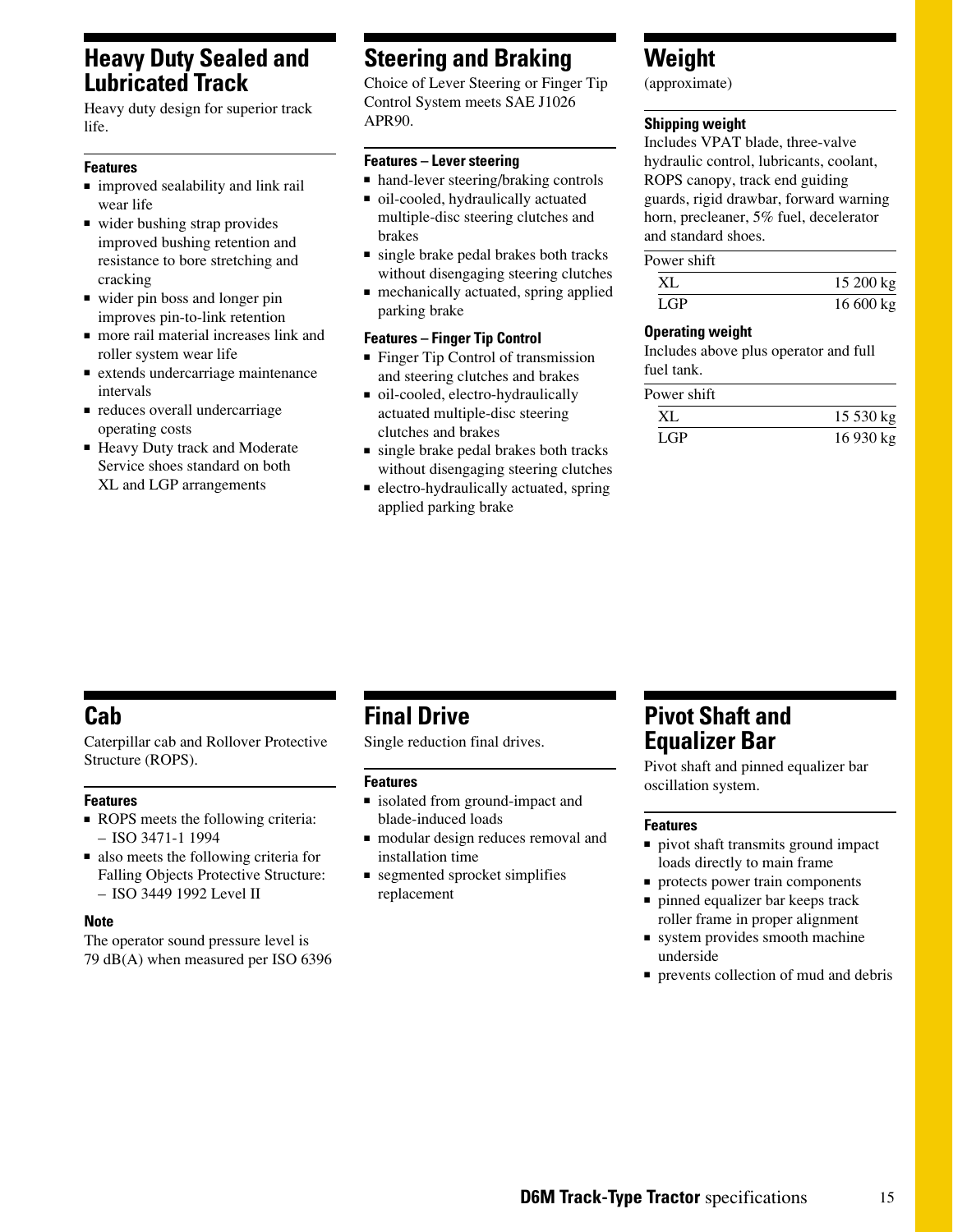### **Heavy Duty Sealed and Lubricated Track**

Heavy duty design for superior track life.

#### **Features**

- improved sealability and link rail wear life
- wider bushing strap provides improved bushing retention and resistance to bore stretching and cracking
- wider pin boss and longer pin improves pin-to-link retention
- more rail material increases link and roller system wear life
- extends undercarriage maintenance intervals
- reduces overall undercarriage operating costs
- Heavy Duty track and Moderate Service shoes standard on both XL and LGP arrangements

### **Steering and Braking**

Choice of Lever Steering or Finger Tip Control System meets SAE J1026 APR90.

#### **Features – Lever steering**

- hand-lever steering/braking controls
- oil-cooled, hydraulically actuated multiple-disc steering clutches and brakes
- single brake pedal brakes both tracks without disengaging steering clutches
- mechanically actuated, spring applied parking brake

#### **Features – Finger Tip Control**

- Finger Tip Control of transmission and steering clutches and brakes
- oil-cooled, electro-hydraulically actuated multiple-disc steering clutches and brakes
- single brake pedal brakes both tracks without disengaging steering clutches
- electro-hydraulically actuated, spring applied parking brake

### **Weight**

(approximate)

#### **Shipping weight**

Includes VPAT blade, three-valve hydraulic control, lubricants, coolant, ROPS canopy, track end guiding guards, rigid drawbar, forward warning horn, precleaner, 5% fuel, decelerator and standard shoes.

#### Power shift

| XL         | 15200 kg  |
|------------|-----------|
| <b>LGP</b> | 16 600 kg |

#### **Operating weight**

Includes above plus operator and full fuel tank.

| Power shift |            |
|-------------|------------|
| XL          | $15530$ kg |
| LGP.        | 16 930 kg  |

### **Cab**

Caterpillar cab and Rollover Protective Structure (ROPS).

#### **Features**

- ROPS meets the following criteria: – ISO 3471-1 1994
- also meets the following criteria for Falling Objects Protective Structure: – ISO 3449 1992 Level II

#### **Note**

The operator sound pressure level is 79 dB(A) when measured per ISO 6396

### **Final Drive**

Single reduction final drives.

#### **Features**

- isolated from ground-impact and blade-induced loads
- modular design reduces removal and installation time
- segmented sprocket simplifies replacement

### **Pivot Shaft and Equalizer Bar**

Pivot shaft and pinned equalizer bar oscillation system.

#### **Features**

- pivot shaft transmits ground impact loads directly to main frame
- protects power train components
- pinned equalizer bar keeps track roller frame in proper alignment
- system provides smooth machine underside
- prevents collection of mud and debris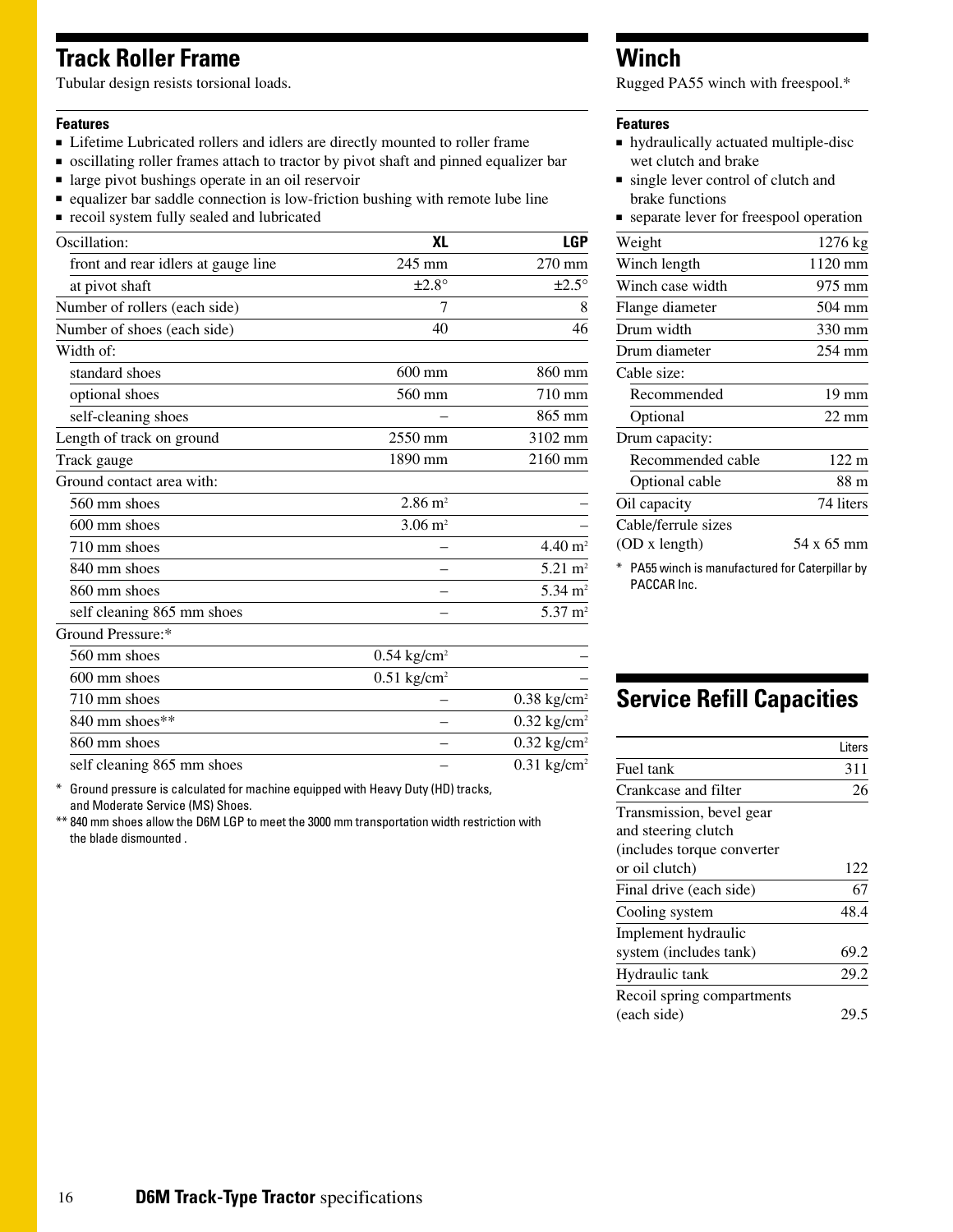### **Track Roller Frame**

Tubular design resists torsional loads.

#### **Features**

- Lifetime Lubricated rollers and idlers are directly mounted to roller frame
- oscillating roller frames attach to tractor by pivot shaft and pinned equalizer bar
- large pivot bushings operate in an oil reservoir
- equalizer bar saddle connection is low-friction bushing with remote lube line
- recoil system fully sealed and lubricated

| Oscillation:                        | XL                        | <b>LGP</b>                |
|-------------------------------------|---------------------------|---------------------------|
| front and rear idlers at gauge line | 245 mm                    | 270 mm                    |
| at pivot shaft                      | $\pm 2.8^\circ$           | $\pm 2.5^\circ$           |
| Number of rollers (each side)       | 7                         | 8                         |
| Number of shoes (each side)         | 40                        | 46                        |
| Width of:                           |                           |                           |
| standard shoes                      | $600$ mm                  | 860 mm                    |
| optional shoes                      | 560 mm                    | 710 mm                    |
| self-cleaning shoes                 |                           | 865 mm                    |
| Length of track on ground           | 2550 mm                   | 3102 mm                   |
| Track gauge                         | 1890 mm                   | 2160 mm                   |
| Ground contact area with:           |                           |                           |
| 560 mm shoes                        | $2.86 \text{ m}^2$        |                           |
| $600 \text{ mm}$ shoes              | $3.06 \text{ m}^2$        |                           |
| 710 mm shoes                        |                           | $4.40 \text{ m}^2$        |
| 840 mm shoes                        |                           | $5.21 \text{ m}^2$        |
| 860 mm shoes                        |                           | $5.34 \text{ m}^2$        |
| self cleaning 865 mm shoes          |                           | $5.37 \text{ m}^2$        |
| Ground Pressure:*                   |                           |                           |
| 560 mm shoes                        | $0.54$ kg/cm <sup>2</sup> |                           |
| $600 \text{ mm}$ shoes              | $0.51$ kg/cm <sup>2</sup> |                           |
| 710 mm shoes                        |                           | $0.38$ kg/cm <sup>2</sup> |
| 840 mm shoes**                      |                           | $0.32$ kg/cm <sup>2</sup> |
| 860 mm shoes                        |                           | $0.32$ kg/cm <sup>2</sup> |
| self cleaning 865 mm shoes          |                           | $0.31$ kg/cm <sup>2</sup> |

\* Ground pressure is calculated for machine equipped with Heavy Duty (HD) tracks, and Moderate Service (MS) Shoes.

\*\* 840 mm shoes allow the D6M LGP to meet the 3000 mm transportation width restriction with the blade dismounted .

### **Winch**

Rugged PA55 winch with freespool.\*

#### **Features**

- hydraulically actuated multiple-disc wet clutch and brake
- single lever control of clutch and brake functions
- separate lever for freespool operation

| Weight              | 1276 kg                     |
|---------------------|-----------------------------|
| Winch length        | 1120 mm                     |
| Winch case width    | 975 mm                      |
| Flange diameter     | 504 mm                      |
| Drum width          | 330 mm                      |
| Drum diameter       | 254 mm                      |
| Cable size:         |                             |
| Recommended         | $19 \text{ mm}$             |
| Optional            | $22 \text{ mm}$             |
| Drum capacity:      |                             |
| Recommended cable   | 122 m                       |
| Optional cable      | 88 m                        |
| Oil capacity        | 74 liters                   |
| Cable/ferrule sizes |                             |
| (OD x length)       | 54 x 65 mm                  |
| ---- --             | $\sim$ $\sim$ $\sim$ $\sim$ |

\* PA55 winch is manufactured for Caterpillar by PACCAR Inc.

## **Service Refill Capacities**

|                            | l iters |
|----------------------------|---------|
| Fuel tank                  | 311     |
| Crankcase and filter       | 26      |
| Transmission, bevel gear   |         |
| and steering clutch        |         |
| (includes torque converter |         |
| or oil clutch)             | 122     |
| Final drive (each side)    | 67      |
| Cooling system             | 48.4    |
| Implement hydraulic        |         |
| system (includes tank)     | 69.2    |
| Hydraulic tank             | 29.2    |
| Recoil spring compartments |         |
| (each side)                |         |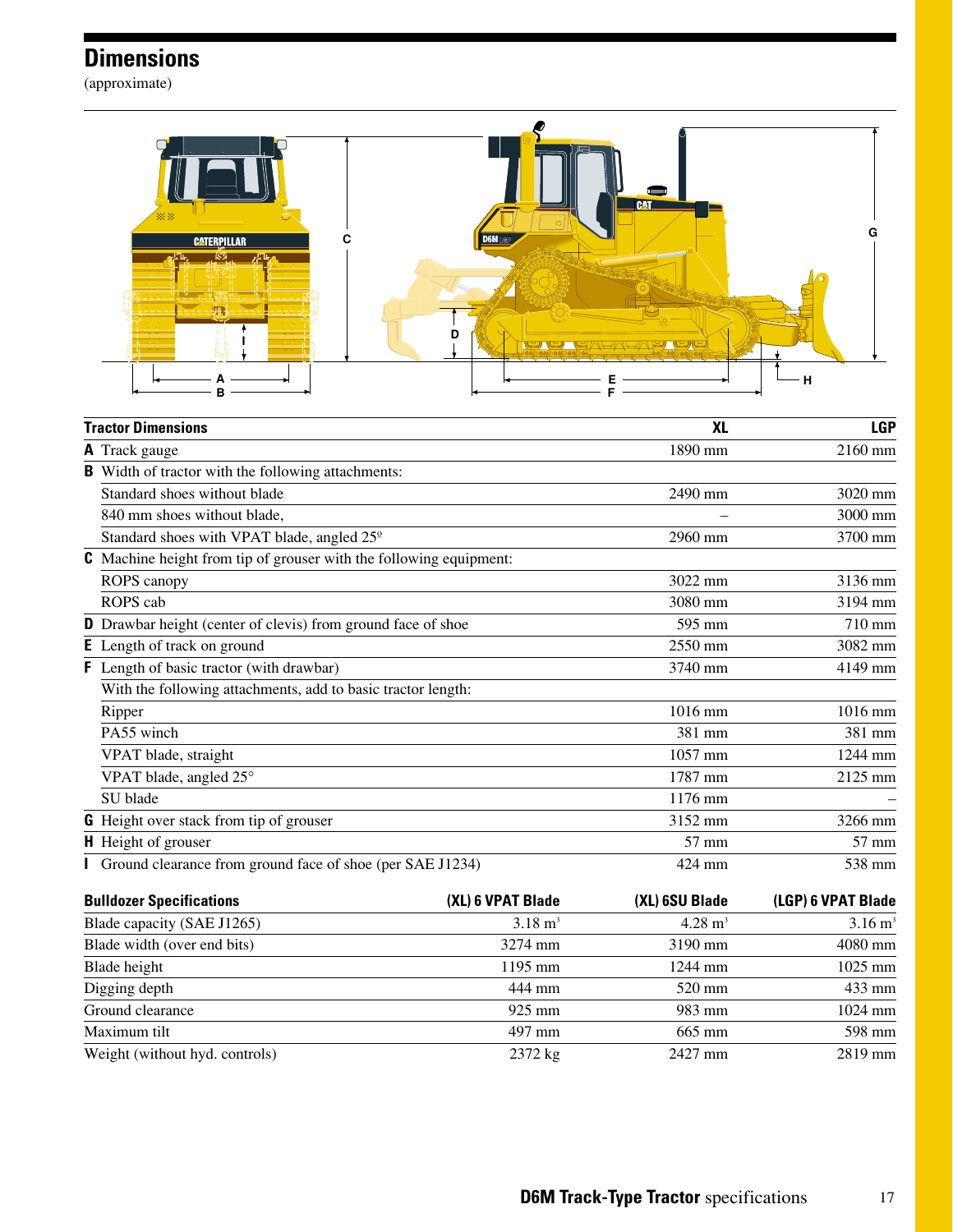# **Dimensions**

(approximate)



| <b>Tractor Dimensions</b>  |                                                                           | <b>XL</b>            | <b>LGP</b> |
|----------------------------|---------------------------------------------------------------------------|----------------------|------------|
| <b>A</b> Track gauge       |                                                                           | 1890 mm              | 2160 mm    |
| в                          | Width of tractor with the following attachments:                          |                      |            |
|                            | Standard shoes without blade                                              | 2490 mm              | 3020 mm    |
|                            | 840 mm shoes without blade,                                               |                      | 3000 mm    |
|                            | Standard shoes with VPAT blade, angled 25 <sup>°</sup>                    | 2960 mm              | 3700 mm    |
|                            | <b>C</b> Machine height from tip of grouser with the following equipment: |                      |            |
| ROPS canopy                |                                                                           | 3022 mm              | 3136 mm    |
| ROPS cab                   |                                                                           | 3080 mm              | 3194 mm    |
|                            | <b>D</b> Drawbar height (center of clevis) from ground face of shoe       | 595 mm               | 710 mm     |
|                            | <b>E</b> Length of track on ground                                        | $2550 \,\mathrm{mm}$ | 3082 mm    |
|                            | <b>F</b> Length of basic tractor (with drawbar)                           | 3740 mm              | 4149 mm    |
|                            | With the following attachments, add to basic tractor length:              |                      |            |
| Ripper                     |                                                                           | 1016 mm              | 1016 mm    |
| PA55 winch                 |                                                                           | 381 mm               | 381 mm     |
| VPAT blade, straight       |                                                                           | 1057 mm              | 1244 mm    |
|                            | VPAT blade, angled 25°                                                    | 1787 mm              | 2125 mm    |
| SU blade                   |                                                                           | 1176 mm              |            |
|                            | <b>G</b> Height over stack from tip of grouser                            | 3152 mm              | 3266 mm    |
| <b>H</b> Height of grouser |                                                                           | $57$ mm              | 57 mm      |
|                            | <b>I</b> Ground clearance from ground face of shoe (per SAE J1234)        | 424 mm               | 538 mm     |

| <b>Bulldozer Specifications</b> | (XL) 6 VPAT Blade  | (XL) 6SU Blade     | (LGP) 6 VPAT Blade |  |
|---------------------------------|--------------------|--------------------|--------------------|--|
| Blade capacity (SAE J1265)      | $3.18 \text{ m}^3$ | $4.28 \text{ m}^3$ | $3.16 \text{ m}^3$ |  |
| Blade width (over end bits)     | 3274 mm            | $3190$ mm          | 4080 mm            |  |
| Blade height                    | 1195 mm            | 1244 mm            | $1025$ mm          |  |
| Digging depth                   | 444 mm             | 520 mm             | 433 mm             |  |
| Ground clearance                | $925 \text{ mm}$   | 983 mm             | $1024$ mm          |  |
| Maximum tilt                    | 497 mm             | 665 mm             | 598 mm             |  |
| Weight (without hyd. controls)  | $2372$ kg          | 2427 mm            | $2819$ mm          |  |

17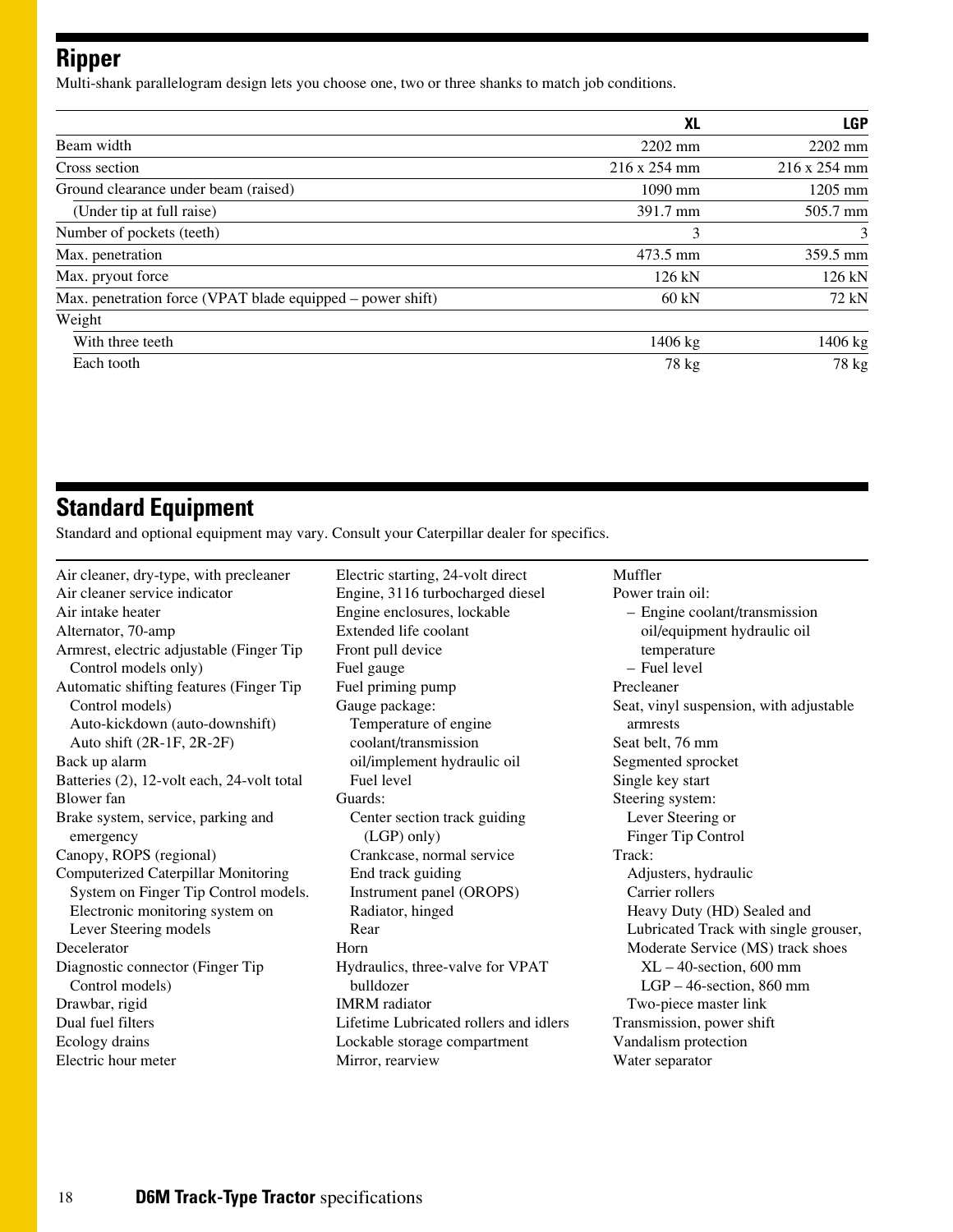### **Ripper**

Multi-shank parallelogram design lets you choose one, two or three shanks to match job conditions.

|                                                            | XL               | <b>LGP</b>   |
|------------------------------------------------------------|------------------|--------------|
| Beam width                                                 | $2202$ mm        | 2202 mm      |
| Cross section                                              | 216 x 254 mm     | 216 x 254 mm |
| Ground clearance under beam (raised)                       | 1090 mm          | $1205$ mm    |
| (Under tip at full raise)                                  | 391.7 mm         | 505.7 mm     |
| Number of pockets (teeth)                                  | 3                | 3            |
| Max. penetration                                           | 473.5 mm         | 359.5 mm     |
| Max. pryout force                                          | $126 \text{ kN}$ | 126 kN       |
| Max. penetration force (VPAT blade equipped – power shift) | $60 \text{ kN}$  | 72 kN        |
| Weight                                                     |                  |              |
| With three teeth                                           | 1406 kg          | 1406 kg      |
| Each tooth                                                 | 78 kg            | 78 kg        |

### **Standard Equipment**

Standard and optional equipment may vary. Consult your Caterpillar dealer for specifics.

Air cleaner, dry-type, with precleaner Air cleaner service indicator Air intake heater Alternator, 70-amp Armrest, electric adjustable (Finger Tip Control models only) Automatic shifting features (Finger Tip Control models) Auto-kickdown (auto-downshift) Auto shift (2R-1F, 2R-2F) Back up alarm Batteries (2), 12-volt each, 24-volt total Blower fan Brake system, service, parking and emergency Canopy, ROPS (regional) Computerized Caterpillar Monitoring System on Finger Tip Control models. Electronic monitoring system on Lever Steering models Decelerator Diagnostic connector (Finger Tip Control models) Drawbar, rigid Dual fuel filters Ecology drains Electric hour meter

Electric starting, 24-volt direct Engine, 3116 turbocharged diesel Engine enclosures, lockable Extended life coolant Front pull device Fuel gauge Fuel priming pump Gauge package: Temperature of engine coolant/transmission oil/implement hydraulic oil Fuel level Guards: Center section track guiding (LGP) only) Crankcase, normal service End track guiding Instrument panel (OROPS) Radiator, hinged Rear Horn Hydraulics, three-valve for VPAT bulldozer IMRM radiator Lifetime Lubricated rollers and idlers Lockable storage compartment Mirror, rearview

Muffler Power train oil: – Engine coolant/transmission oil/equipment hydraulic oil temperature – Fuel level Precleaner Seat, vinyl suspension, with adjustable armrests Seat belt, 76 mm Segmented sprocket Single key start Steering system: Lever Steering or Finger Tip Control Track: Adjusters, hydraulic Carrier rollers Heavy Duty (HD) Sealed and Lubricated Track with single grouser, Moderate Service (MS) track shoes XL – 40-section, 600 mm LGP – 46-section, 860 mm Two-piece master link Transmission, power shift Vandalism protection Water separator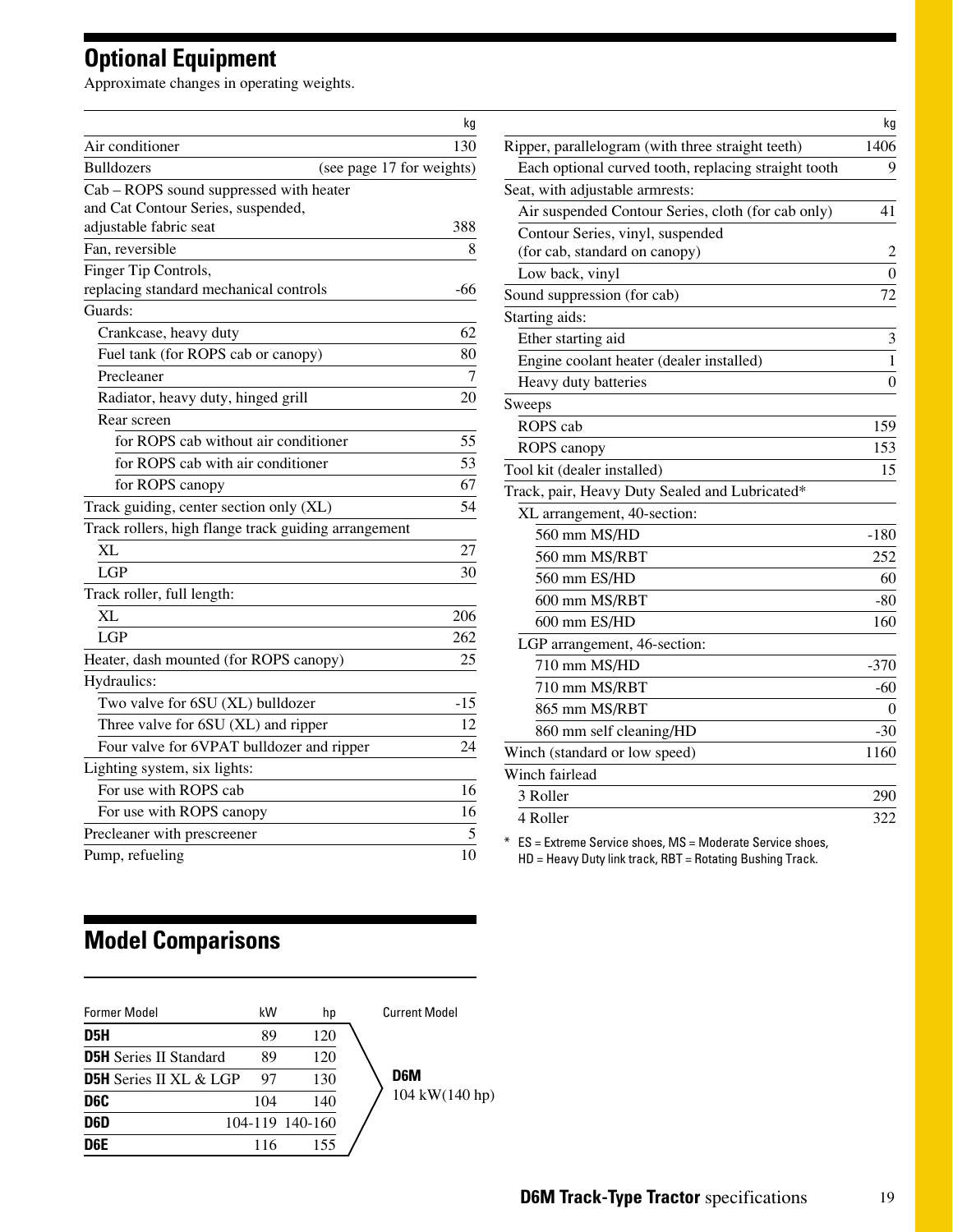# **Optional Equipment**

Approximate changes in operating weights.

|                                                      | kg                        |                            |
|------------------------------------------------------|---------------------------|----------------------------|
| Air conditioner                                      | 130                       | Ripper, par                |
| <b>Bulldozers</b>                                    | (see page 17 for weights) | Each opt:                  |
| Cab - ROPS sound suppressed with heater              |                           | Seat, with a               |
| and Cat Contour Series, suspended,                   |                           | Air suspe                  |
| adjustable fabric seat                               | 388                       | Contour                    |
| Fan, reversible                                      | 8                         | (for cab,                  |
| Finger Tip Controls,                                 |                           | Low bacl                   |
| replacing standard mechanical controls               | -66                       | Sound supp                 |
| Guards:                                              |                           | Starting aid               |
| Crankcase, heavy duty                                | 62                        | Ether star                 |
| Fuel tank (for ROPS cab or canopy)                   | 80                        | Engine c                   |
| Precleaner                                           | $\overline{7}$            | Heavy du                   |
| Radiator, heavy duty, hinged grill                   | 20                        | Sweeps                     |
| Rear screen                                          |                           | ROPS ca                    |
| for ROPS cab without air conditioner                 | 55                        | ROPS ca                    |
| for ROPS cab with air conditioner                    | 53                        | Tool kit (de               |
| for ROPS canopy                                      | 67                        | Track, pair,               |
| Track guiding, center section only (XL)              | 54                        | XL arran                   |
| Track rollers, high flange track guiding arrangement |                           | 560 m                      |
| XL                                                   | 27                        | 560 m                      |
| <b>LGP</b>                                           | 30                        | 560 m                      |
| Track roller, full length:                           |                           | 600 m                      |
| XL                                                   | 206                       | $600 \text{ m}$            |
| <b>LGP</b>                                           | 262                       | LGP arra                   |
| Heater, dash mounted (for ROPS canopy)               | 25                        | 710 m                      |
| Hydraulics:                                          |                           | $710 \text{ m}$            |
| Two valve for 6SU (XL) bulldozer                     | $-15$                     | 865 m                      |
| Three valve for 6SU (XL) and ripper                  | 12                        | 860 m                      |
| Four valve for 6VPAT bulldozer and ripper            | 24                        | Winch (star                |
| Lighting system, six lights:                         |                           | Winch fairl                |
| For use with ROPS cab                                | 16                        |                            |
| For use with ROPS canopy                             | 16                        | 3 Roller                   |
| Precleaner with prescreener                          | 5                         | 4 Roller                   |
| Pump, refueling                                      | 10                        | $ES =$ Extrer<br>HD = Heav |

|                                                      | kg             |
|------------------------------------------------------|----------------|
| Ripper, parallelogram (with three straight teeth)    | 1406           |
| Each optional curved tooth, replacing straight tooth | 9              |
| Seat, with adjustable armrests:                      |                |
| Air suspended Contour Series, cloth (for cab only)   | 41             |
| Contour Series, vinyl, suspended                     |                |
| (for cab, standard on canopy)                        | 2              |
| Low back, vinyl                                      | $\overline{0}$ |
| Sound suppression (for cab)                          | 72             |
| Starting aids:                                       |                |
| Ether starting aid                                   | 3              |
| Engine coolant heater (dealer installed)             | $\mathbf{1}$   |
| Heavy duty batteries                                 | $\overline{0}$ |
| Sweeps                                               |                |
| ROPS cab                                             | 159            |
| ROPS canopy                                          | 153            |
| Tool kit (dealer installed)                          | 15             |
| Track, pair, Heavy Duty Sealed and Lubricated*       |                |
| XL arrangement, 40-section:                          |                |
| 560 mm MS/HD                                         | $-180$         |
| 560 mm MS/RBT                                        | 252            |
| 560 mm ES/HD                                         | 60             |
| 600 mm MS/RBT                                        | $-80$          |
| 600 mm ES/HD                                         | 160            |
| LGP arrangement, 46-section:                         |                |
| 710 mm MS/HD                                         | $-370$         |
| 710 mm MS/RBT                                        | $-60$          |
| 865 mm MS/RBT                                        | 0              |
| 860 mm self cleaning/HD                              | $-30$          |
| Winch (standard or low speed)                        | 1160           |
| Winch fairlead                                       |                |
| 3 Roller                                             | 290            |
| 4 Roller                                             | 322            |
|                                                      |                |

me Service shoes, MS = Moderate Service shoes, y Duty link track, RBT = Rotating Bushing Track.

# **Model Comparisons**

| <b>Former Model</b>           | kW  | hp              | <b>Current Model</b> |
|-------------------------------|-----|-----------------|----------------------|
| D <sub>5</sub> H              | 89  | 120             |                      |
| <b>D5H</b> Series II Standard | 89  | 120             |                      |
| <b>D5H</b> Series II XL & LGP | 97  | 130             | D <sub>6</sub> M     |
| D6C                           | 104 | 140             | 104 kW(140 hp)       |
| D <sub>6</sub> D              |     | 104-119 140-160 |                      |
| D <sub>6</sub> E              | 116 | 155             |                      |